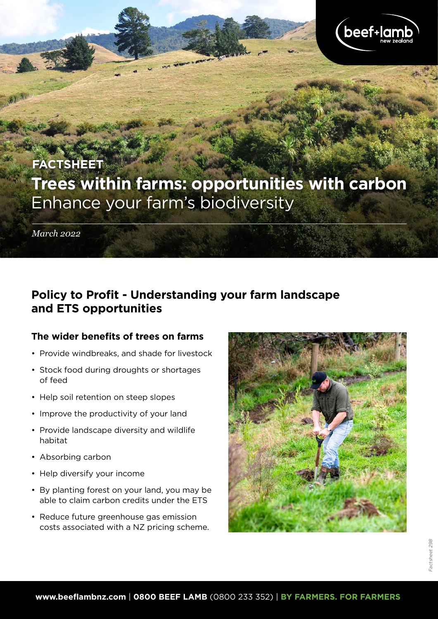

# **Trees within farms: opportunities with carbon** Enhance your farm's biodiversity **FACTSHEET**

*March 2022*

# **Policy to Profit - Understanding your farm landscape and ETS opportunities**

### **The wider benefits of trees on farms**

- Provide windbreaks, and shade for livestock
- Stock food during droughts or shortages of feed
- Help soil retention on steep slopes
- Improve the productivity of your land
- Provide landscape diversity and wildlife habitat
- Absorbing carbon
- Help diversify your income
- By planting forest on your land, you may be able to claim carbon credits under the ETS
- Reduce future greenhouse gas emission costs associated with a NZ pricing scheme.

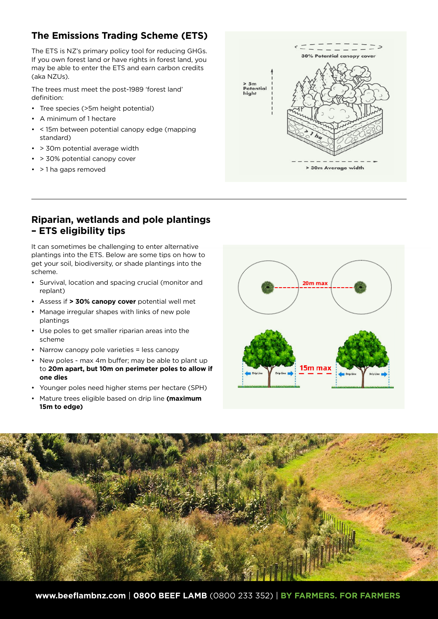# **The Emissions Trading Scheme (ETS)**

The ETS is NZ's primary policy tool for reducing GHGs. If you own forest land or have rights in forest land, you may be able to enter the ETS and earn carbon credits (aka NZUs).

The trees must meet the post-1989 'forest land' definition:

- Tree species (>5m height potential)
- A minimum of 1 hectare
- < 15m between potential canopy edge (mapping standard)
- > 30m potential average width
- > 30% potential canopy cover
- > 1 ha gaps removed



### **Riparian, wetlands and pole plantings – ETS eligibility tips**

It can sometimes be challenging to enter alternative plantings into the ETS. Below are some tips on how to get your soil, biodiversity, or shade plantings into the scheme.

- Survival, location and spacing crucial (monitor and replant)
- Assess if **> 30% canopy cover** potential well met
- Manage irregular shapes with links of new pole plantings
- Use poles to get smaller riparian areas into the scheme
- Narrow canopy pole varieties = less canopy
- New poles max 4m buffer; may be able to plant up to **20m apart, but 10m on perimeter poles to allow if one dies**
- Younger poles need higher stems per hectare (SPH)
- Mature trees eligible based on drip line **(maximum 15m to edge)**



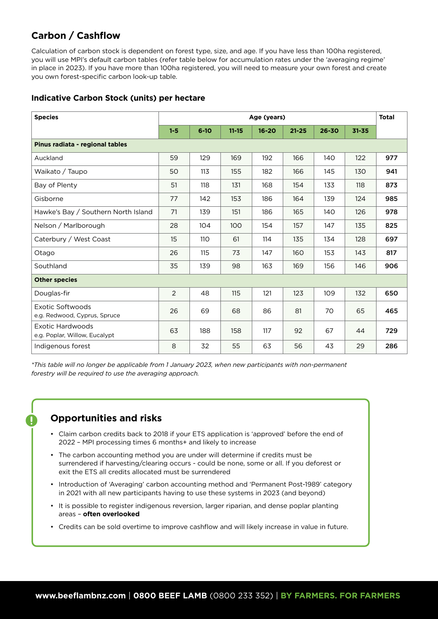# **Carbon / Cashflow**

Calculation of carbon stock is dependent on forest type, size, and age. If you have less than 100ha registered, you will use MPI's default carbon tables (refer table below for accumulation rates under the 'averaging regime' in place in 2023). If you have more than 100ha registered, you will need to measure your own forest and create you own forest-specific carbon look-up table.

### **Indicative Carbon Stock (units) per hectare**

| <b>Species</b>                                    | Age (years)    |          |           |           |           |           |           | <b>Total</b> |
|---------------------------------------------------|----------------|----------|-----------|-----------|-----------|-----------|-----------|--------------|
|                                                   | $1 - 5$        | $6 - 10$ | $11 - 15$ | $16 - 20$ | $21 - 25$ | $26 - 30$ | $31 - 35$ |              |
| Pinus radiata - regional tables                   |                |          |           |           |           |           |           |              |
| Auckland                                          | 59             | 129      | 169       | 192       | 166       | 140       | 122       | 977          |
| Waikato / Taupo                                   | 50             | 113      | 155       | 182       | 166       | 145       | 130       | 941          |
| Bay of Plenty                                     | 51             | 118      | 131       | 168       | 154       | 133       | 118       | 873          |
| Gisborne                                          | 77             | 142      | 153       | 186       | 164       | 139       | 124       | 985          |
| Hawke's Bay / Southern North Island               | 71             | 139      | 151       | 186       | 165       | 140       | 126       | 978          |
| Nelson / Marlborough                              | 28             | 104      | 100       | 154       | 157       | 147       | 135       | 825          |
| Caterbury / West Coast                            | 15             | 110      | 61        | 114       | 135       | 134       | 128       | 697          |
| Otago                                             | 26             | 115      | 73        | 147       | 160       | 153       | 143       | 817          |
| Southland                                         | 35             | 139      | 98        | 163       | 169       | 156       | 146       | 906          |
| <b>Other species</b>                              |                |          |           |           |           |           |           |              |
| Douglas-fir                                       | $\overline{2}$ | 48       | 115       | 121       | 123       | 109       | 132       | 650          |
| Exotic Softwoods<br>e.g. Redwood, Cyprus, Spruce  | 26             | 69       | 68        | 86        | 81        | 70        | 65        | 465          |
| Exotic Hardwoods<br>e.g. Poplar, Willow, Eucalypt | 63             | 188      | 158       | 117       | 92        | 67        | 44        | 729          |
| Indigenous forest                                 | 8              | 32       | 55        | 63        | 56        | 43        | 29        | 286          |

*\*This table will no longer be applicable from 1 January 2023, when new participants with non-permanent forestry will be required to use the averaging approach.*

### **Opportunities and risks**

- Claim carbon credits back to 2018 if your ETS application is 'approved' before the end of 2022 – MPI processing times 6 months+ and likely to increase
- The carbon accounting method you are under will determine if credits must be surrendered if harvesting/clearing occurs - could be none, some or all. If you deforest or exit the ETS all credits allocated must be surrendered
- Introduction of 'Averaging' carbon accounting method and 'Permanent Post-1989' category in 2021 with all new participants having to use these systems in 2023 (and beyond)
- It is possible to register indigenous reversion, larger riparian, and dense poplar planting areas – **often overlooked**
- Credits can be sold overtime to improve cashflow and will likely increase in value in future.